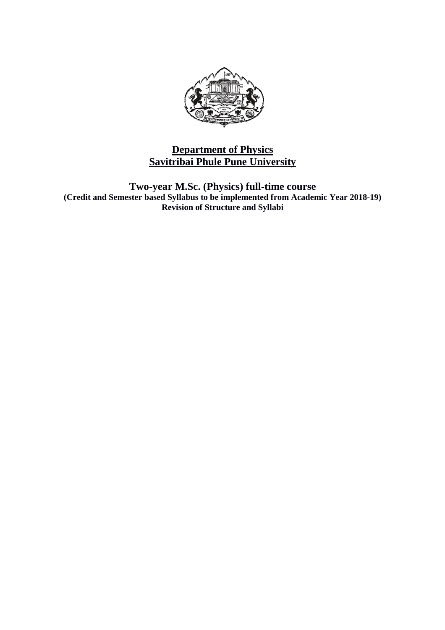

# **Savitribai Phule Pune University Department of Physics**

**Two-year M.Sc. (Physics) full (Credit and Semester based Syllabus to be implemented from Academic Year 201 year M.Sc. (Physics) full-time course Revision of Structure and Syllabi 8-19)**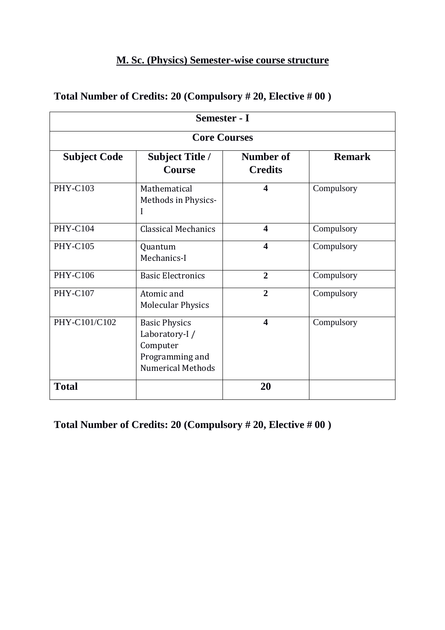# **M. Sc. (Physics) Semester-wise course structure**

| Semester - I        |                                                                                                   |                             |               |  |
|---------------------|---------------------------------------------------------------------------------------------------|-----------------------------|---------------|--|
| <b>Core Courses</b> |                                                                                                   |                             |               |  |
| <b>Subject Code</b> | <b>Subject Title /</b><br><b>Course</b>                                                           | Number of<br><b>Credits</b> | <b>Remark</b> |  |
| <b>PHY-C103</b>     | Mathematical<br>Methods in Physics-<br>I                                                          | $\overline{\mathbf{4}}$     | Compulsory    |  |
| <b>PHY-C104</b>     | <b>Classical Mechanics</b>                                                                        | $\overline{\mathbf{4}}$     | Compulsory    |  |
| <b>PHY-C105</b>     | Quantum<br>Mechanics-I                                                                            | $\overline{\mathbf{4}}$     | Compulsory    |  |
| <b>PHY-C106</b>     | <b>Basic Electronics</b>                                                                          | $\overline{2}$              | Compulsory    |  |
| <b>PHY-C107</b>     | Atomic and<br><b>Molecular Physics</b>                                                            | $\overline{2}$              | Compulsory    |  |
| PHY-C101/C102       | <b>Basic Physics</b><br>Laboratory-I /<br>Computer<br>Programming and<br><b>Numerical Methods</b> | $\overline{\mathbf{4}}$     | Compulsory    |  |
| <b>Total</b>        |                                                                                                   | 20                          |               |  |

# **Total Number of Credits: 20 (Compulsory # 20, Elective # 00 )**

**Total Number of Credits: 20 (Compulsory # 20, Elective # 00 )**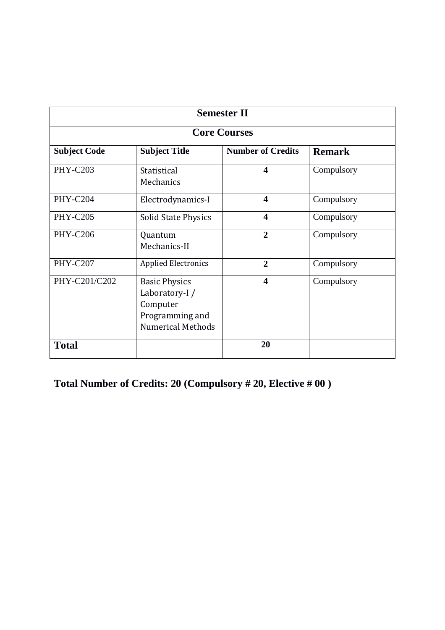| <b>Semester II</b>  |                                                                                                  |                          |               |  |
|---------------------|--------------------------------------------------------------------------------------------------|--------------------------|---------------|--|
| <b>Core Courses</b> |                                                                                                  |                          |               |  |
| <b>Subject Code</b> | <b>Subject Title</b>                                                                             | <b>Number of Credits</b> | <b>Remark</b> |  |
| <b>PHY-C203</b>     | Statistical<br>Mechanics                                                                         | $\overline{\mathbf{4}}$  | Compulsory    |  |
| <b>PHY-C204</b>     | Electrodynamics-I                                                                                | $\boldsymbol{4}$         | Compulsory    |  |
| <b>PHY-C205</b>     | <b>Solid State Physics</b>                                                                       | $\overline{\mathbf{4}}$  | Compulsory    |  |
| <b>PHY-C206</b>     | Quantum<br>Mechanics-II                                                                          | $\overline{2}$           | Compulsory    |  |
| <b>PHY-C207</b>     | <b>Applied Electronics</b>                                                                       | $\overline{2}$           | Compulsory    |  |
| PHY-C201/C202       | <b>Basic Physics</b><br>Laboratory-I/<br>Computer<br>Programming and<br><b>Numerical Methods</b> | $\boldsymbol{4}$         | Compulsory    |  |
| <b>Total</b>        |                                                                                                  | 20                       |               |  |

**Total Number of Credits: 20 (Compulsory # 20, Elective # 00 )**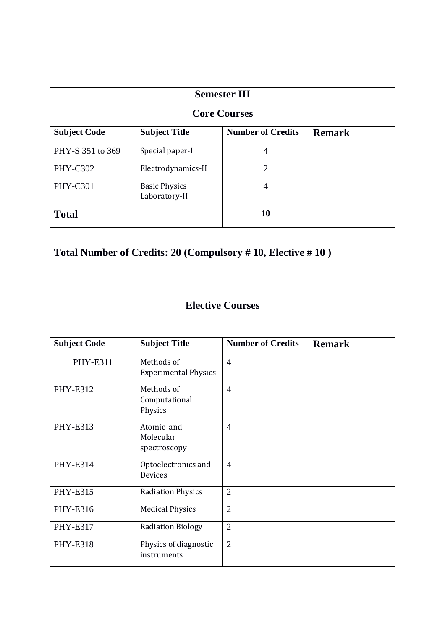| <b>Semester III</b> |                                       |                          |               |  |  |  |
|---------------------|---------------------------------------|--------------------------|---------------|--|--|--|
| <b>Core Courses</b> |                                       |                          |               |  |  |  |
| <b>Subject Code</b> | <b>Subject Title</b>                  | <b>Number of Credits</b> | <b>Remark</b> |  |  |  |
| PHY-S 351 to 369    | Special paper-I                       | 4                        |               |  |  |  |
| <b>PHY-C302</b>     | Electrodynamics-II                    | $\overline{2}$           |               |  |  |  |
| <b>PHY-C301</b>     | <b>Basic Physics</b><br>Laboratory-II | 4                        |               |  |  |  |
| <b>Total</b>        | 10                                    |                          |               |  |  |  |

# **Total Number of Credits: 20 (Compulsory # 10, Elective # 10 )**

| <b>Elective Courses</b> |                                           |                          |               |
|-------------------------|-------------------------------------------|--------------------------|---------------|
| <b>Subject Code</b>     | <b>Subject Title</b>                      | <b>Number of Credits</b> | <b>Remark</b> |
| <b>PHY-E311</b>         | Methods of<br><b>Experimental Physics</b> | $\overline{4}$           |               |
| <b>PHY-E312</b>         | Methods of<br>Computational<br>Physics    | $\overline{4}$           |               |
| <b>PHY-E313</b>         | Atomic and<br>Molecular<br>spectroscopy   | $\overline{4}$           |               |
| <b>PHY-E314</b>         | Optoelectronics and<br><b>Devices</b>     | $\overline{4}$           |               |
| <b>PHY-E315</b>         | <b>Radiation Physics</b>                  | $\overline{2}$           |               |
| <b>PHY-E316</b>         | <b>Medical Physics</b>                    | $\overline{2}$           |               |
| <b>PHY-E317</b>         | <b>Radiation Biology</b>                  | $\overline{2}$           |               |
| <b>PHY-E318</b>         | Physics of diagnostic<br>instruments      | $\overline{2}$           |               |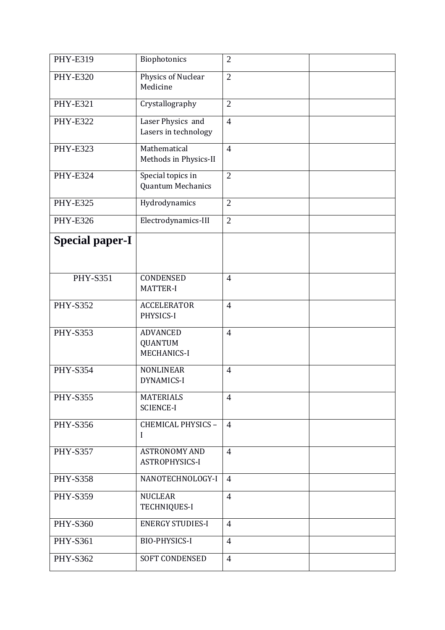| <b>PHY-E319</b>        | Biophotonics                                            | $\overline{2}$ |  |
|------------------------|---------------------------------------------------------|----------------|--|
| <b>PHY-E320</b>        | Physics of Nuclear<br>Medicine                          | $\overline{2}$ |  |
| <b>PHY-E321</b>        | Crystallography                                         | $\overline{2}$ |  |
| <b>PHY-E322</b>        | Laser Physics and<br>Lasers in technology               | $\overline{4}$ |  |
| <b>PHY-E323</b>        | Mathematical<br>Methods in Physics-II                   | $\overline{4}$ |  |
| <b>PHY-E324</b>        | Special topics in<br><b>Quantum Mechanics</b>           | $\overline{2}$ |  |
| <b>PHY-E325</b>        | Hydrodynamics                                           | $\overline{2}$ |  |
| <b>PHY-E326</b>        | Electrodynamics-III                                     | $\overline{2}$ |  |
| <b>Special paper-I</b> |                                                         |                |  |
| <b>PHY-S351</b>        | CONDENSED<br><b>MATTER-I</b>                            | $\overline{4}$ |  |
| <b>PHY-S352</b>        | <b>ACCELERATOR</b><br>PHYSICS-I                         | $\overline{4}$ |  |
| <b>PHY-S353</b>        | <b>ADVANCED</b><br><b>QUANTUM</b><br><b>MECHANICS-I</b> | $\overline{4}$ |  |
| <b>PHY-S354</b>        | <b>NONLINEAR</b><br><b>DYNAMICS-I</b>                   | $\overline{4}$ |  |
| <b>PHY-S355</b>        | <b>MATERIALS</b><br><b>SCIENCE-I</b>                    | $\overline{4}$ |  |
| <b>PHY-S356</b>        | CHEMICAL PHYSICS -<br>I                                 | $\overline{4}$ |  |
| <b>PHY-S357</b>        | <b>ASTRONOMY AND</b><br>ASTROPHYSICS-I                  | $\overline{4}$ |  |
| <b>PHY-S358</b>        | NANOTECHNOLOGY-I                                        | $\overline{4}$ |  |
| <b>PHY-S359</b>        | <b>NUCLEAR</b><br><b>TECHNIQUES-I</b>                   | $\overline{4}$ |  |
| <b>PHY-S360</b>        | <b>ENERGY STUDIES-I</b>                                 | $\overline{4}$ |  |
| <b>PHY-S361</b>        | <b>BIO-PHYSICS-I</b>                                    | $\overline{4}$ |  |
| <b>PHY-S362</b>        | <b>SOFT CONDENSED</b>                                   | $\overline{4}$ |  |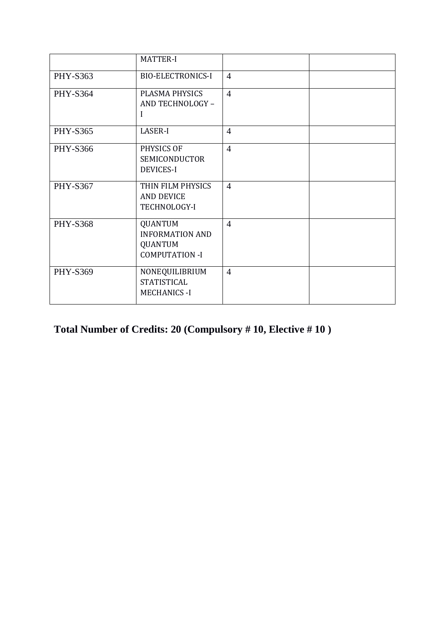|                 | <b>MATTER-I</b>                                                                     |                |  |
|-----------------|-------------------------------------------------------------------------------------|----------------|--|
| PHY-S363        | <b>BIO-ELECTRONICS-I</b>                                                            | $\overline{4}$ |  |
| <b>PHY-S364</b> | PLASMA PHYSICS<br>AND TECHNOLOGY -<br>I                                             | $\overline{4}$ |  |
| <b>PHY-S365</b> | LASER-I                                                                             | $\overline{4}$ |  |
| <b>PHY-S366</b> | PHYSICS OF<br><b>SEMICONDUCTOR</b><br><b>DEVICES-I</b>                              | $\overline{4}$ |  |
| <b>PHY-S367</b> | THIN FILM PHYSICS<br><b>AND DEVICE</b><br>TECHNOLOGY-I                              | $\overline{4}$ |  |
| <b>PHY-S368</b> | <b>QUANTUM</b><br><b>INFORMATION AND</b><br><b>QUANTUM</b><br><b>COMPUTATION -I</b> | $\overline{4}$ |  |
| PHY-S369        | NONEQUILIBRIUM<br><b>STATISTICAL</b><br><b>MECHANICS - I</b>                        | $\overline{4}$ |  |

# **Total Number of Credits: 20 (Compulsory # 10, Elective # 10 )**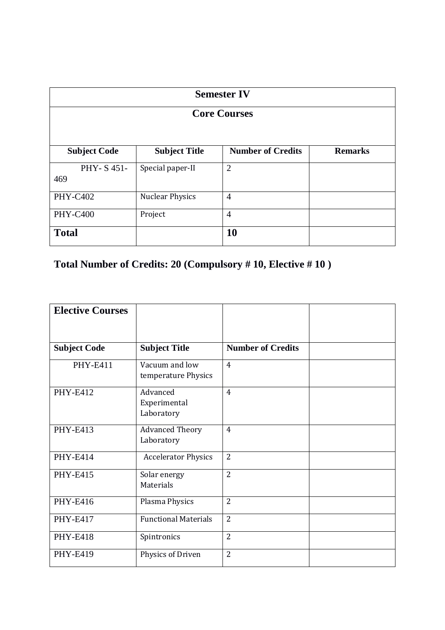| <b>Semester IV</b><br><b>Core Courses</b> |                        |                          |                |  |
|-------------------------------------------|------------------------|--------------------------|----------------|--|
|                                           |                        |                          |                |  |
| <b>Subject Code</b>                       | <b>Subject Title</b>   | <b>Number of Credits</b> | <b>Remarks</b> |  |
| PHY-S451-<br>469                          | Special paper-II       | $\overline{2}$           |                |  |
| <b>PHY-C402</b>                           | <b>Nuclear Physics</b> | $\overline{4}$           |                |  |
| <b>PHY-C400</b>                           | Project                | $\overline{4}$           |                |  |
| <b>10</b><br><b>Total</b>                 |                        |                          |                |  |

**Total Number of Credits: 20 (Compulsory # 10, Elective # 10 )**

| <b>Elective Courses</b> |                                        |                          |  |
|-------------------------|----------------------------------------|--------------------------|--|
|                         |                                        |                          |  |
| <b>Subject Code</b>     | <b>Subject Title</b>                   | <b>Number of Credits</b> |  |
| <b>PHY-E411</b>         | Vacuum and low<br>temperature Physics  | $\overline{4}$           |  |
| <b>PHY-E412</b>         | Advanced<br>Experimental<br>Laboratory | $\overline{4}$           |  |
| <b>PHY-E413</b>         | <b>Advanced Theory</b><br>Laboratory   | $\overline{4}$           |  |
| <b>PHY-E414</b>         | <b>Accelerator Physics</b>             | $\overline{2}$           |  |
| <b>PHY-E415</b>         | Solar energy<br>Materials              | $\overline{2}$           |  |
| <b>PHY-E416</b>         | Plasma Physics                         | $\overline{2}$           |  |
| <b>PHY-E417</b>         | <b>Functional Materials</b>            | $\overline{2}$           |  |
| <b>PHY-E418</b>         | Spintronics                            | $\overline{2}$           |  |
| <b>PHY-E419</b>         | Physics of Driven                      | $\overline{2}$           |  |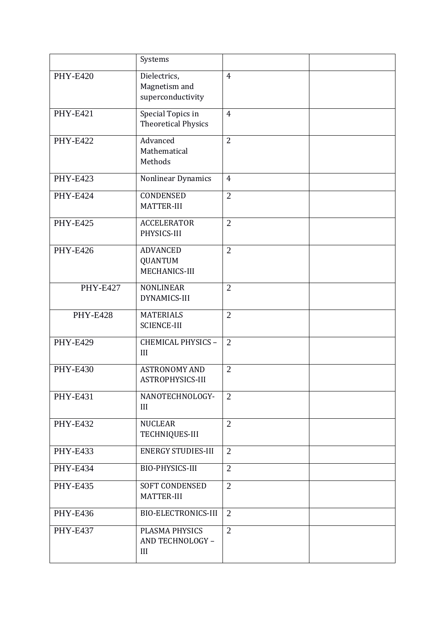|                 | Systems                                            |                |  |
|-----------------|----------------------------------------------------|----------------|--|
| <b>PHY-E420</b> | Dielectrics,<br>Magnetism and<br>superconductivity | $\overline{4}$ |  |
| <b>PHY-E421</b> | Special Topics in<br><b>Theoretical Physics</b>    | $\overline{4}$ |  |
| <b>PHY-E422</b> | Advanced<br>Mathematical<br>Methods                | $\overline{2}$ |  |
| <b>PHY-E423</b> | Nonlinear Dynamics                                 | $\overline{4}$ |  |
| <b>PHY-E424</b> | <b>CONDENSED</b><br>MATTER-III                     | $\overline{2}$ |  |
| <b>PHY-E425</b> | <b>ACCELERATOR</b><br>PHYSICS-III                  | $\overline{2}$ |  |
| <b>PHY-E426</b> | <b>ADVANCED</b><br><b>QUANTUM</b><br>MECHANICS-III | $\overline{2}$ |  |
| <b>PHY-E427</b> | <b>NONLINEAR</b><br><b>DYNAMICS-III</b>            | $\overline{2}$ |  |
| <b>PHY-E428</b> | <b>MATERIALS</b><br><b>SCIENCE-III</b>             | $\overline{2}$ |  |
| <b>PHY-E429</b> | CHEMICAL PHYSICS -<br>III                          | $\overline{2}$ |  |
| <b>PHY-E430</b> | <b>ASTRONOMY AND</b><br>ASTROPHYSICS-III           | $\overline{2}$ |  |
| <b>PHY-E431</b> | NANOTECHNOLOGY-<br>III                             | $\overline{2}$ |  |
| <b>PHY-E432</b> | <b>NUCLEAR</b><br>TECHNIQUES-III                   | $\overline{2}$ |  |
| <b>PHY-E433</b> | <b>ENERGY STUDIES-III</b>                          | $\overline{2}$ |  |
| <b>PHY-E434</b> | BIO-PHYSICS-III                                    | $\overline{2}$ |  |
| <b>PHY-E435</b> | <b>SOFT CONDENSED</b><br><b>MATTER-III</b>         | $\overline{2}$ |  |
| <b>PHY-E436</b> | <b>BIO-ELECTRONICS-III</b>                         | $\overline{2}$ |  |
| <b>PHY-E437</b> | PLASMA PHYSICS<br>AND TECHNOLOGY -<br>III          | $\overline{2}$ |  |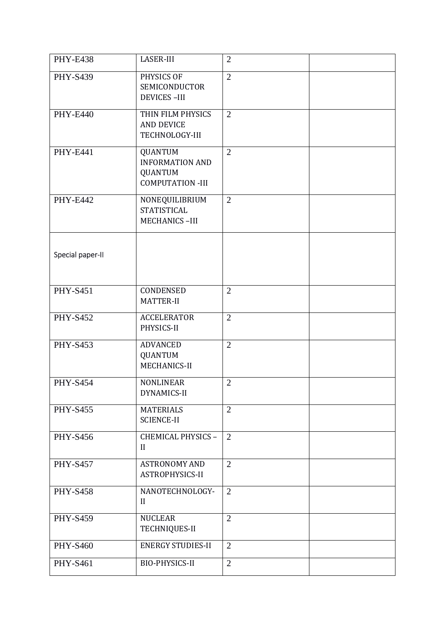| <b>PHY-E438</b>  | <b>LASER-III</b>                                                                      | $\overline{2}$ |  |
|------------------|---------------------------------------------------------------------------------------|----------------|--|
| <b>PHY-S439</b>  | PHYSICS OF<br>SEMICONDUCTOR<br><b>DEVICES-III</b>                                     | $\overline{2}$ |  |
| <b>PHY-E440</b>  | THIN FILM PHYSICS<br><b>AND DEVICE</b><br>TECHNOLOGY-III                              | $\overline{2}$ |  |
| <b>PHY-E441</b>  | <b>QUANTUM</b><br><b>INFORMATION AND</b><br><b>QUANTUM</b><br><b>COMPUTATION -III</b> | $\overline{2}$ |  |
| <b>PHY-E442</b>  | NONEQUILIBRIUM<br><b>STATISTICAL</b><br><b>MECHANICS-III</b>                          | $\overline{2}$ |  |
| Special paper-II |                                                                                       |                |  |
| <b>PHY-S451</b>  | CONDENSED<br>MATTER-II                                                                | $\overline{2}$ |  |
| <b>PHY-S452</b>  | <b>ACCELERATOR</b><br>PHYSICS-II                                                      | $\overline{2}$ |  |
| <b>PHY-S453</b>  | <b>ADVANCED</b><br><b>QUANTUM</b><br>MECHANICS-II                                     | $\overline{2}$ |  |
| <b>PHY-S454</b>  | <b>NONLINEAR</b><br>DYNAMICS-II                                                       | $\overline{2}$ |  |
| <b>PHY-S455</b>  | <b>MATERIALS</b><br><b>SCIENCE-II</b>                                                 | $\overline{2}$ |  |
| <b>PHY-S456</b>  | CHEMICAL PHYSICS -<br>II                                                              | $\overline{2}$ |  |
| <b>PHY-S457</b>  | <b>ASTRONOMY AND</b><br>ASTROPHYSICS-II                                               | $\overline{2}$ |  |
| <b>PHY-S458</b>  | NANOTECHNOLOGY-<br>$\mathbf{I}$                                                       | 2              |  |
| <b>PHY-S459</b>  | <b>NUCLEAR</b><br>TECHNIQUES-II                                                       | $\overline{2}$ |  |
| <b>PHY-S460</b>  | <b>ENERGY STUDIES-II</b>                                                              | $\overline{2}$ |  |
| <b>PHY-S461</b>  | <b>BIO-PHYSICS-II</b>                                                                 | $\overline{2}$ |  |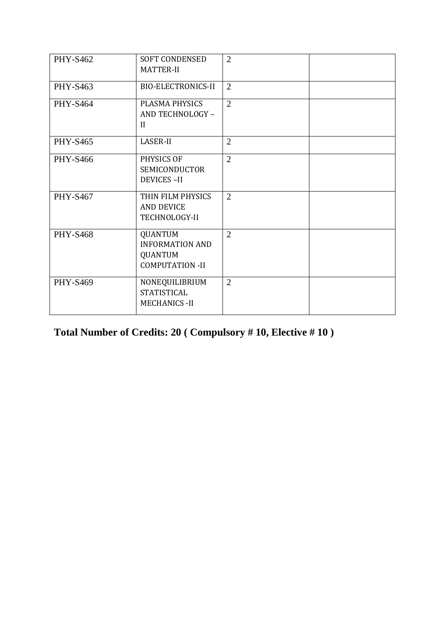| <b>PHY-S462</b> | <b>SOFT CONDENSED</b><br>MATTER-II                                                   | $\overline{2}$ |  |
|-----------------|--------------------------------------------------------------------------------------|----------------|--|
| <b>PHY-S463</b> | <b>BIO-ELECTRONICS-II</b>                                                            | $\overline{2}$ |  |
| <b>PHY-S464</b> | PLASMA PHYSICS<br>AND TECHNOLOGY -<br>$\mathbf{I}$                                   | $\overline{2}$ |  |
| <b>PHY-S465</b> | LASER-II                                                                             | $\overline{2}$ |  |
| <b>PHY-S466</b> | PHYSICS OF<br><b>SEMICONDUCTOR</b><br><b>DEVICES-II</b>                              | $\overline{2}$ |  |
| <b>PHY-S467</b> | THIN FILM PHYSICS<br><b>AND DEVICE</b><br>TECHNOLOGY-II                              | $\overline{2}$ |  |
| <b>PHY-S468</b> | <b>QUANTUM</b><br><b>INFORMATION AND</b><br><b>QUANTUM</b><br><b>COMPUTATION -II</b> | $\overline{2}$ |  |
| <b>PHY-S469</b> | NONEQUILIBRIUM<br><b>STATISTICAL</b><br><b>MECHANICS - II</b>                        | $\overline{2}$ |  |

**Total Number of Credits: 20 ( Compulsory # 10, Elective # 10 )**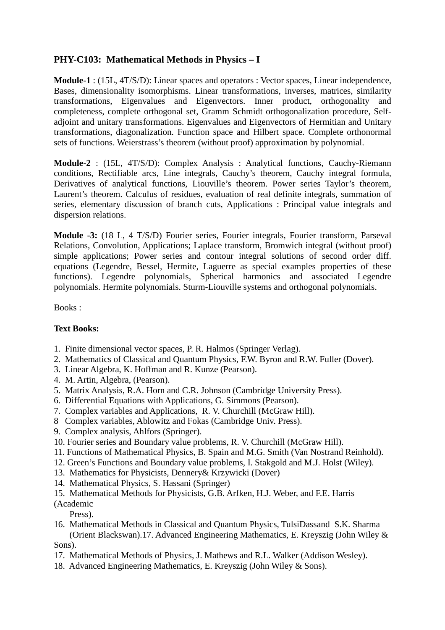# **PHY-C103: Mathematical Methods in Physics – I**

**Module-1** : (15L, 4T/S/D): Linear spaces and operators : Vector spaces, Linear independence, Bases, dimensionality isomorphisms. Linear transformations, inverses, matrices, similarity transformations, Eigenvalues and Eigenvectors. Inner product, orthogonality and completeness, complete orthogonal set, Gramm Schmidt orthogonalization procedure, Selfadjoint and unitary transformations. Eigenvalues and Eigenvectors of Hermitian and Unitary transformations, diagonalization. Function space and Hilbert space. Complete orthonormal sets of functions. Weierstrass's theorem (without proof) approximation by polynomial.

**Module-2** : (15L, 4T/S/D): Complex Analysis : Analytical functions, Cauchy-Riemann conditions, Rectifiable arcs, Line integrals, Cauchy's theorem, Cauchy integral formula, Derivatives of analytical functions, Liouville's theorem. Power series Taylor's theorem, Laurent's theorem. Calculus of residues, evaluation of real definite integrals, summation of series, elementary discussion of branch cuts, Applications : Principal value integrals and dispersion relations.

**Module -3:** (18 L, 4 T/S/D) Fourier series, Fourier integrals, Fourier transform, Parseval Relations, Convolution, Applications; Laplace transform, Bromwich integral (without proof) simple applications; Power series and contour integral solutions of second order diff. equations (Legendre, Bessel, Hermite, Laguerre as special examples properties of these functions). Legendre polynomials, Spherical harmonics and associated Legendre polynomials. Hermite polynomials. Sturm-Liouville systems and orthogonal polynomials.

Books :

### **Text Books:**

- 1. Finite dimensional vector spaces, P. R. Halmos (Springer Verlag).
- 2. Mathematics of Classical and Quantum Physics, F.W. Byron and R.W. Fuller (Dover).
- 3. Linear Algebra, K. Hoffman and R. Kunze (Pearson).
- 4. M. Artin, Algebra, (Pearson).
- 5. Matrix Analysis, R.A. Horn and C.R. Johnson (Cambridge University Press).
- 6. Differential Equations with Applications, G. Simmons (Pearson).
- 7. Complex variables and Applications, R. V. Churchill (McGraw Hill).
- 8 Complex variables, Ablowitz and Fokas (Cambridge Univ. Press).
- 9. Complex analysis, Ahlfors (Springer).
- 10. Fourier series and Boundary value problems, R. V. Churchill (McGraw Hill).
- 11. Functions of Mathematical Physics, B. Spain and M.G. Smith (Van Nostrand Reinhold).
- 12. Green's Functions and Boundary value problems, I. Stakgold and M.J. Holst (Wiley).
- 13. Mathematics for Physicists, Dennery& Krzywicki (Dover)
- 14. Mathematical Physics, S. Hassani (Springer)
- 15. Mathematical Methods for Physicists, G.B. Arfken, H.J. Weber, and F.E. Harris

(Academic

Press).

- 16. Mathematical Methods in Classical and Quantum Physics, TulsiDassand S.K. Sharma (Orient Blackswan).17. Advanced Engineering Mathematics, E. Kreyszig (John Wiley & Sons).
- 17. Mathematical Methods of Physics, J. Mathews and R.L. Walker (Addison Wesley).
- 18. Advanced Engineering Mathematics, E. Kreyszig (John Wiley & Sons).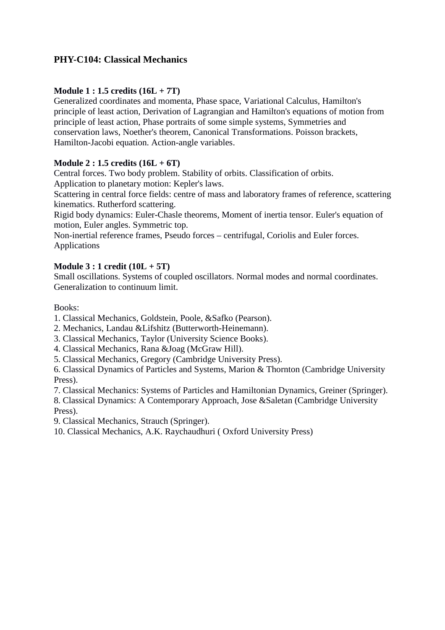# **PHY-C104: Classical Mechanics**

## **Module 1 : 1.5 credits (16L + 7T)**

Generalized coordinates and momenta, Phase space, Variational Calculus, Hamilton's principle of least action, Derivation of Lagrangian and Hamilton's equations of motion from principle of least action, Phase portraits of some simple systems, Symmetries and conservation laws, Noether's theorem, Canonical Transformations. Poisson brackets, Hamilton-Jacobi equation. Action-angle variables.

### **Module 2 : 1.5 credits (16L + 6T)**

Central forces. Two body problem. Stability of orbits. Classification of orbits.

Application to planetary motion: Kepler's laws.

Scattering in central force fields: centre of mass and laboratory frames of reference, scattering kinematics. Rutherford scattering.

Rigid body dynamics: Euler-Chasle theorems, Moment of inertia tensor. Euler's equation of motion, Euler angles. Symmetric top.

Non-inertial reference frames, Pseudo forces – centrifugal, Coriolis and Euler forces. Applications

### **Module 3 : 1 credit (10L + 5T)**

Small oscillations. Systems of coupled oscillators. Normal modes and normal coordinates. Generalization to continuum limit.

### Books:

1. Classical Mechanics, Goldstein, Poole, &Safko (Pearson).

2. Mechanics, Landau &Lifshitz (Butterworth-Heinemann).

3. Classical Mechanics, Taylor (University Science Books).

- 4. Classical Mechanics, Rana &Joag (McGraw Hill).
- 5. Classical Mechanics, Gregory (Cambridge University Press).

6. Classical Dynamics of Particles and Systems, Marion & Thornton (Cambridge University Press).

7. Classical Mechanics: Systems of Particles and Hamiltonian Dynamics, Greiner (Springer).

8. Classical Dynamics: A Contemporary Approach, Jose &Saletan (Cambridge University Press).

9. Classical Mechanics, Strauch (Springer).

10. Classical Mechanics, A.K. Raychaudhuri ( Oxford University Press)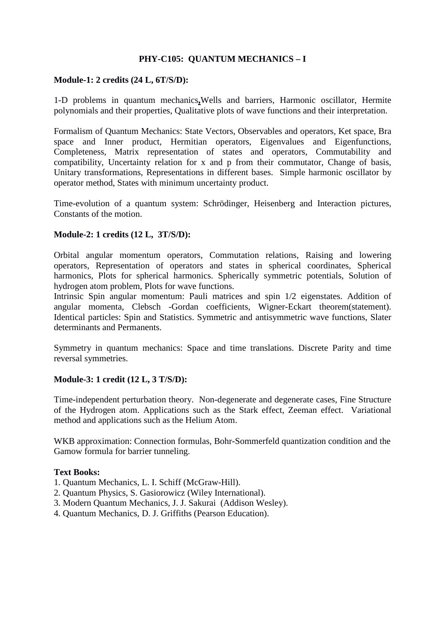### **PHY-C105: QUANTUM MECHANICS – I**

#### **Module-1: 2 credits (24 L, 6T/S/D):**

1-D problems in quantum mechanics**,**Wells and barriers, Harmonic oscillator, Hermite polynomials and their properties, Qualitative plots of wave functions and their interpretation.

Formalism of Quantum Mechanics: State Vectors, Observables and operators, Ket space, Bra space and Inner product, Hermitian operators, Eigenvalues and Eigenfunctions, Completeness, Matrix representation of states and operators, Commutability and compatibility, Uncertainty relation for x and p from their commutator, Change of basis, Unitary transformations, Representations in different bases. Simple harmonic oscillator by operator method, States with minimum uncertainty product.

Time-evolution of a quantum system: Schrödinger, Heisenberg and Interaction pictures, Constants of the motion.

#### **Module-2: 1 credits (12 L, 3T/S/D):**

Orbital angular momentum operators, Commutation relations, Raising and lowering operators, Representation of operators and states in spherical coordinates, Spherical harmonics, Plots for spherical harmonics. Spherically symmetric potentials, Solution of hydrogen atom problem, Plots for wave functions.

Intrinsic Spin angular momentum: Pauli matrices and spin 1/2 eigenstates. Addition of angular momenta, Clebsch -Gordan coefficients, Wigner-Eckart theorem(statement). Identical particles: Spin and Statistics. Symmetric and antisymmetric wave functions, Slater determinants and Permanents.

Symmetry in quantum mechanics: Space and time translations. Discrete Parity and time reversal symmetries.

#### **Module-3: 1 credit (12 L, 3 T/S/D):**

Time-independent perturbation theory. Non-degenerate and degenerate cases, Fine Structure of the Hydrogen atom. Applications such as the Stark effect, Zeeman effect. Variational method and applications such as the Helium Atom.

WKB approximation: Connection formulas, Bohr-Sommerfeld quantization condition and the Gamow formula for barrier tunneling.

#### **Text Books:**

- 1. Quantum Mechanics, L. I. Schiff (McGraw-Hill).
- 2. Quantum Physics, S. Gasiorowicz (Wiley International).
- 3. Modern Quantum Mechanics, J. J. Sakurai (Addison Wesley).
- 4. Quantum Mechanics, D. J. Griffiths (Pearson Education).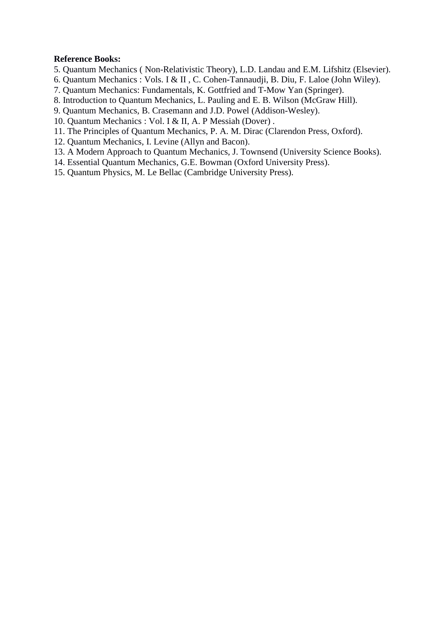#### **Reference Books:**

- 5. Quantum Mechanics ( Non-Relativistic Theory), L.D. Landau and E.M. Lifshitz (Elsevier).
- 6. Quantum Mechanics : Vols. I & II , C. Cohen-Tannaudji, B. Diu, F. Laloe (John Wiley).
- 7. Quantum Mechanics: Fundamentals, K. Gottfried and T-Mow Yan (Springer).
- 8. Introduction to Quantum Mechanics, L. Pauling and E. B. Wilson (McGraw Hill).
- 9. Quantum Mechanics, B. Crasemann and J.D. Powel (Addison-Wesley).
- 10. Quantum Mechanics : Vol. I & II, A. P Messiah (Dover) .
- 11. The Principles of Quantum Mechanics, P. A. M. Dirac (Clarendon Press, Oxford).
- 12. Quantum Mechanics, I. Levine (Allyn and Bacon).
- 13. A Modern Approach to Quantum Mechanics, J. Townsend (University Science Books).
- 14. Essential Quantum Mechanics, G.E. Bowman (Oxford University Press).
- 15. Quantum Physics, M. Le Bellac (Cambridge University Press).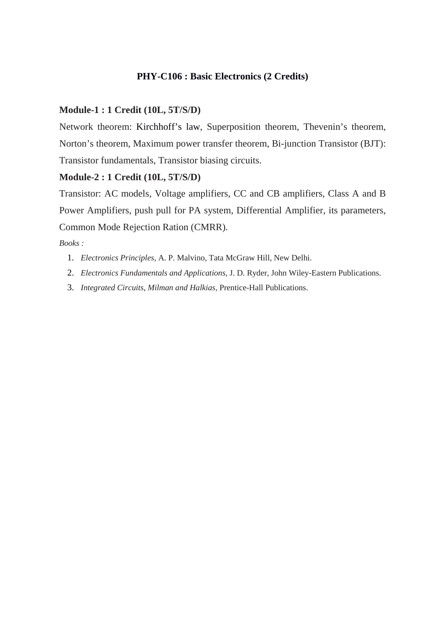## **PHY-C106 : Basic Electronics (2 Credits)**

#### **Module-1 : 1 Credit (10L, 5T/S/D)**

Network theorem: Kirchhoff's law, Superposition theorem, Thevenin's theorem, Norton's theorem, Maximum power transfer theorem, Bi-junction Transistor (BJT): Transistor fundamentals, Transistor biasing circuits.

#### **Module-2 : 1 Credit (10L, 5T/S/D)**

Transistor: AC models, Voltage amplifiers, CC and CB amplifiers, Class A and B Power Amplifiers, push pull for PA system, Differential Amplifier, its parameters, Common Mode Rejection Ration (CMRR).

- 1. *Electronics Principles,* A. P. Malvino, Tata McGraw Hill, New Delhi.
- 2. *Electronics Fundamentals and Applications,* J. D. Ryder, John Wiley-Eastern Publications.
- 3. *Integrated Circuits, Milman and Halkias,* Prentice-Hall Publications.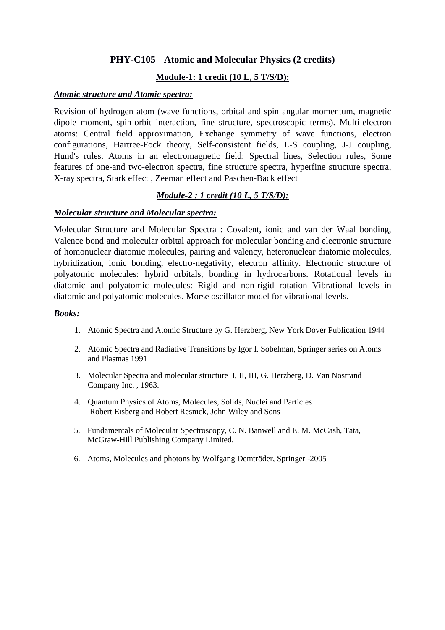# **PHY-C105 Atomic and Molecular Physics (2 credits)**

## **Module-1: 1 credit (10 L, 5 T/S/D):**

#### *Atomic structure and Atomic spectra:*

Revision of hydrogen atom (wave functions, orbital and spin angular momentum, magnetic dipole moment, spin-orbit interaction, fine structure, spectroscopic terms). Multi-electron atoms: Central field approximation, Exchange symmetry of wave functions, electron configurations, Hartree-Fock theory, Self-consistent fields, L-S coupling, J-J coupling, Hund's rules. Atoms in an electromagnetic field: Spectral lines, Selection rules, Some features of one-and two-electron spectra, fine structure spectra, hyperfine structure spectra, X-ray spectra, Stark effect , Zeeman effect and Paschen-Back effect

## *Module-2 : 1 credit (10 L, 5 T/S/D):*

### *Molecular structure and Molecular spectra:*

Molecular Structure and Molecular Spectra : Covalent, ionic and van der Waal bonding, Valence bond and molecular orbital approach for molecular bonding and electronic structure of homonuclear diatomic molecules, pairing and valency, heteronuclear diatomic molecules, hybridization, ionic bonding, electro-negativity, electron affinity. Electronic structure of polyatomic molecules: hybrid orbitals, bonding in hydrocarbons. Rotational levels in diatomic and polyatomic molecules: Rigid and non-rigid rotation Vibrational levels in diatomic and polyatomic molecules. Morse oscillator model for vibrational levels.

- 1. Atomic Spectra and Atomic Structure by G. Herzberg, New York Dover Publication 1944
- 2. Atomic Spectra and Radiative Transitions by Igor I. Sobelman, Springer series on Atoms and Plasmas 1991
- 3. Molecular Spectra and molecular structure I, II, III, G. Herzberg, D. Van Nostrand Company Inc. , 1963.
- 4. Quantum Physics of Atoms, Molecules, Solids, Nuclei and Particles Robert Eisberg and Robert Resnick, John Wiley and Sons
- 5. Fundamentals of Molecular Spectroscopy, C. N. Banwell and E. M. McCash, Tata, McGraw-Hill Publishing Company Limited.
- 6. Atoms, Molecules and photons by Wolfgang Demtröder, Springer -2005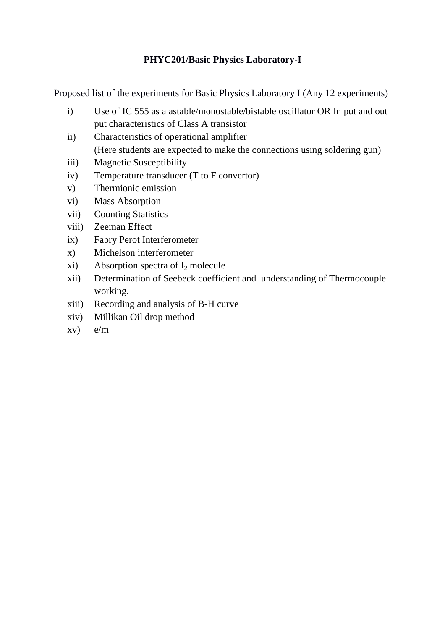# **PHYC201/Basic Physics Laboratory-I**

Proposed list of the experiments for Basic Physics Laboratory I (Any 12 experiments)

- i) Use of IC 555 as a astable/monostable/bistable oscillator OR In put and out put characteristics of Class A transistor
- ii) Characteristics of operational amplifier (Here students are expected to make the connections using soldering gun)
- iii) Magnetic Susceptibility
- iv) Temperature transducer (T to F convertor)
- v) Thermionic emission
- vi) Mass Absorption
- vii) Counting Statistics
- viii) Zeeman Effect
- ix) Fabry Perot Interferometer
- x) Michelson interferometer
- xi) Absorption spectra of  $I_2$  molecule
- xii) Determination of Seebeck coefficient and understanding of Thermocouple working.
- xiii) Recording and analysis of B-H curve
- xiv) Millikan Oil drop method
- xv) e/m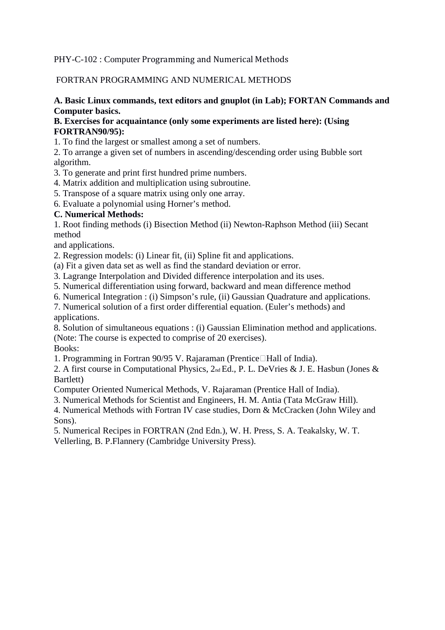## PHY-C-102 : Computer Programming and Numerical Methods

### FORTRAN PROGRAMMING AND NUMERICAL METHODS

### **A. Basic Linux commands, text editors and gnuplot (in Lab); FORTAN Commands and Computer basics.**

#### **B. Exercises for acquaintance (only some experiments are listed here): (Using FORTRAN90/95):**

1. To find the largest or smallest among a set of numbers.

2. To arrange a given set of numbers in ascending/descending order using Bubble sort algorithm.

3. To generate and print first hundred prime numbers.

4. Matrix addition and multiplication using subroutine.

5. Transpose of a square matrix using only one array.

6. Evaluate a polynomial using Horner's method.

### **C. Numerical Methods:**

1. Root finding methods (i) Bisection Method (ii) Newton-Raphson Method (iii) Secant method

and applications.

2. Regression models: (i) Linear fit, (ii) Spline fit and applications.

(a) Fit a given data set as well as find the standard deviation or error.

3. Lagrange Interpolation and Divided difference interpolation and its uses.

5. Numerical differentiation using forward, backward and mean difference method

6. Numerical Integration : (i) Simpson's rule, (ii) Gaussian Quadrature and applications.

7. Numerical solution of a first order differential equation. (Euler's methods) and applications.

8. Solution of simultaneous equations : (i) Gaussian Elimination method and applications. (Note: The course is expected to comprise of 20 exercises).

Books:

1. Programming in Fortran 90/95 V. Rajaraman (Prentice Hall of India).

2. A first course in Computational Physics, 2nd Ed., P. L. DeVries & J. E. Hasbun (Jones & Bartlett)

Computer Oriented Numerical Methods, V. Rajaraman (Prentice Hall of India).

3. Numerical Methods for Scientist and Engineers, H. M. Antia (Tata McGraw Hill).

4. Numerical Methods with Fortran IV case studies, Dorn & McCracken (John Wiley and Sons).

5. Numerical Recipes in FORTRAN (2nd Edn.), W. H. Press, S. A. Teakalsky, W. T. Vellerling, B. P.Flannery (Cambridge University Press).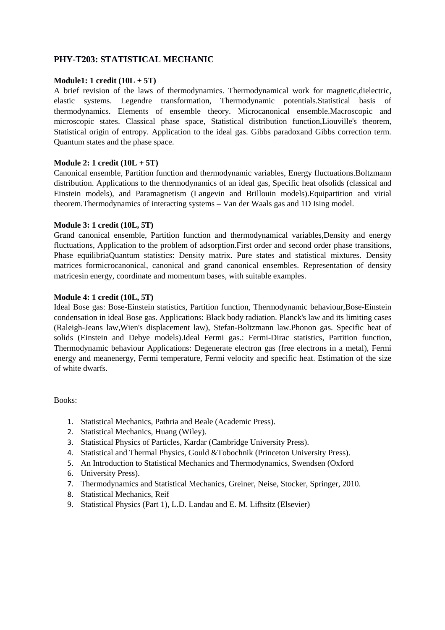#### **PHY-T203: STATISTICAL MECHANIC**

#### **Module1: 1 credit (10L + 5T)**

A brief revision of the laws of thermodynamics. Thermodynamical work for magnetic,dielectric, elastic systems. Legendre transformation, Thermodynamic potentials.Statistical basis of thermodynamics. Elements of ensemble theory. Microcanonical ensemble.Macroscopic and microscopic states. Classical phase space, Statistical distribution function,Liouville's theorem, Statistical origin of entropy. Application to the ideal gas. Gibbs paradoxand Gibbs correction term. Quantum states and the phase space.

#### **Module 2: 1 credit (10L + 5T)**

Canonical ensemble, Partition function and thermodynamic variables, Energy fluctuations.Boltzmann distribution. Applications to the thermodynamics of an ideal gas, Specific heat ofsolids (classical and Einstein models), and Paramagnetism (Langevin and Brillouin models).Equipartition and virial theorem.Thermodynamics of interacting systems – Van der Waals gas and 1D Ising model.

#### **Module 3: 1 credit (10L, 5T)**

Grand canonical ensemble, Partition function and thermodynamical variables,Density and energy fluctuations, Application to the problem of adsorption.First order and second order phase transitions, Phase equilibriaQuantum statistics: Density matrix. Pure states and statistical mixtures. Density matrices formicrocanonical, canonical and grand canonical ensembles. Representation of density matricesin energy, coordinate and momentum bases, with suitable examples.

#### **Module 4: 1 credit (10L, 5T)**

Ideal Bose gas: Bose-Einstein statistics, Partition function, Thermodynamic behaviour,Bose-Einstein condensation in ideal Bose gas. Applications: Black body radiation. Planck's law and its limiting cases (Raleigh-Jeans law,Wien's displacement law), Stefan-Boltzmann law.Phonon gas. Specific heat of solids (Einstein and Debye models).Ideal Fermi gas.: Fermi-Dirac statistics, Partition function, Thermodynamic behaviour Applications: Degenerate electron gas (free electrons in a metal), Fermi energy and meanenergy, Fermi temperature, Fermi velocity and specific heat. Estimation of the size of white dwarfs.

- 1. Statistical Mechanics, Pathria and Beale (Academic Press).
- 2. Statistical Mechanics, Huang (Wiley).
- 3. Statistical Physics of Particles, Kardar (Cambridge University Press).
- 4. Statistical and Thermal Physics, Gould &Tobochnik (Princeton University Press).
- 5. An Introduction to Statistical Mechanics and Thermodynamics, Swendsen (Oxford
- 6. University Press).
- 7. Thermodynamics and Statistical Mechanics, Greiner, Neise, Stocker, Springer, 2010.
- 8. Statistical Mechanics, Reif
- 9. Statistical Physics (Part 1), L.D. Landau and E. M. Lifhsitz (Elsevier)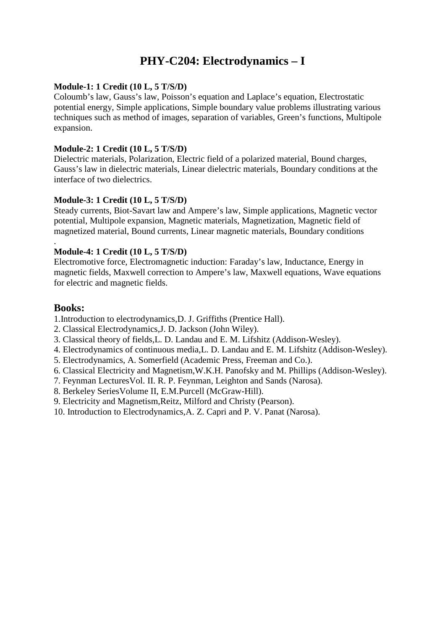# **PHY-C204: Electrodynamics – I**

#### **Module-1: 1 Credit (10 L, 5 T/S/D)**

Coloumb's law, Gauss's law, Poisson's equation and Laplace's equation, Electrostatic potential energy, Simple applications, Simple boundary value problems illustrating various techniques such as method of images, separation of variables, Green's functions, Multipole expansion.

#### **Module-2: 1 Credit (10 L, 5 T/S/D)**

Dielectric materials, Polarization, Electric field of a polarized material, Bound charges, Gauss's law in dielectric materials, Linear dielectric materials, Boundary conditions at the interface of two dielectrics.

#### **Module-3: 1 Credit (10 L, 5 T/S/D)**

Steady currents, Biot-Savart law and Ampere's law, Simple applications, Magnetic vector potential, Multipole expansion, Magnetic materials, Magnetization, Magnetic field of magnetized material, Bound currents, Linear magnetic materials, Boundary conditions

#### **Module-4: 1 Credit (10 L, 5 T/S/D)**

Electromotive force, Electromagnetic induction: Faraday's law, Inductance, Energy in magnetic fields, Maxwell correction to Ampere's law, Maxwell equations, Wave equations for electric and magnetic fields.

### **Books:**

.

1.Introduction to electrodynamics,D. J. Griffiths (Prentice Hall).

- 2. Classical Electrodynamics,J. D. Jackson (John Wiley).
- 3. Classical theory of fields,L. D. Landau and E. M. Lifshitz (Addison-Wesley).
- 4. Electrodynamics of continuous media,L. D. Landau and E. M. Lifshitz (Addison-Wesley).
- 5. Electrodynamics, A. Somerfield (Academic Press, Freeman and Co.).
- 6. Classical Electricity and Magnetism,W.K.H. Panofsky and M. Phillips (Addison-Wesley).
- 7. Feynman LecturesVol. II. R. P. Feynman, Leighton and Sands (Narosa).
- 8. Berkeley SeriesVolume II, E.M.Purcell (McGraw-Hill).
- 9. Electricity and Magnetism,Reitz, Milford and Christy (Pearson).
- 10. Introduction to Electrodynamics,A. Z. Capri and P. V. Panat (Narosa).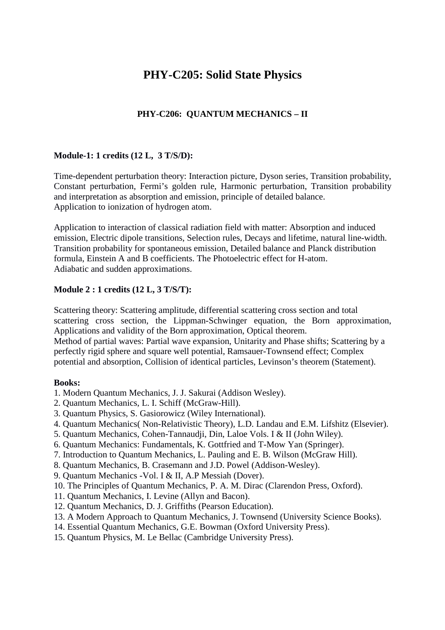# **PHY-C205: Solid State Physics**

## **PHY-C206: QUANTUM MECHANICS – II**

#### **Module-1: 1 credits (12 L, 3 T/S/D):**

Time-dependent perturbation theory: Interaction picture, Dyson series, Transition probability, Constant perturbation, Fermi's golden rule, Harmonic perturbation, Transition probability and interpretation as absorption and emission, principle of detailed balance. Application to ionization of hydrogen atom.

Application to interaction of classical radiation field with matter: Absorption and induced emission, Electric dipole transitions, Selection rules, Decays and lifetime, natural line-width. Transition probability for spontaneous emission, Detailed balance and Planck distribution formula, Einstein A and B coefficients. The Photoelectric effect for H-atom. Adiabatic and sudden approximations.

#### **Module 2 : 1 credits (12 L, 3 T/S/T):**

Scattering theory: Scattering amplitude, differential scattering cross section and total scattering cross section, the Lippman-Schwinger equation, the Born approximation, Applications and validity of the Born approximation, Optical theorem. Method of partial waves: Partial wave expansion, Unitarity and Phase shifts; Scattering by a perfectly rigid sphere and square well potential, Ramsauer-Townsend effect; Complex potential and absorption, Collision of identical particles, Levinson's theorem (Statement).

- 1. Modern Quantum Mechanics, J. J. Sakurai (Addison Wesley).
- 2. Quantum Mechanics, L. I. Schiff (McGraw-Hill).
- 3. Quantum Physics, S. Gasiorowicz (Wiley International).
- 4. Quantum Mechanics( Non-Relativistic Theory), L.D. Landau and E.M. Lifshitz (Elsevier).
- 5. Quantum Mechanics, Cohen-Tannaudji, Din, Laloe Vols. I & II (John Wiley).
- 6. Quantum Mechanics: Fundamentals, K. Gottfried and T-Mow Yan (Springer).
- 7. Introduction to Quantum Mechanics, L. Pauling and E. B. Wilson (McGraw Hill).
- 8. Quantum Mechanics, B. Crasemann and J.D. Powel (Addison-Wesley).
- 9. Quantum Mechanics -Vol. I & II, A.P Messiah (Dover).
- 10. The Principles of Quantum Mechanics, P. A. M. Dirac (Clarendon Press, Oxford).
- 11. Quantum Mechanics, I. Levine (Allyn and Bacon).
- 12. Quantum Mechanics, D. J. Griffiths (Pearson Education).
- 13. A Modern Approach to Quantum Mechanics, J. Townsend (University Science Books).
- 14. Essential Quantum Mechanics, G.E. Bowman (Oxford University Press).
- 15. Quantum Physics, M. Le Bellac (Cambridge University Press).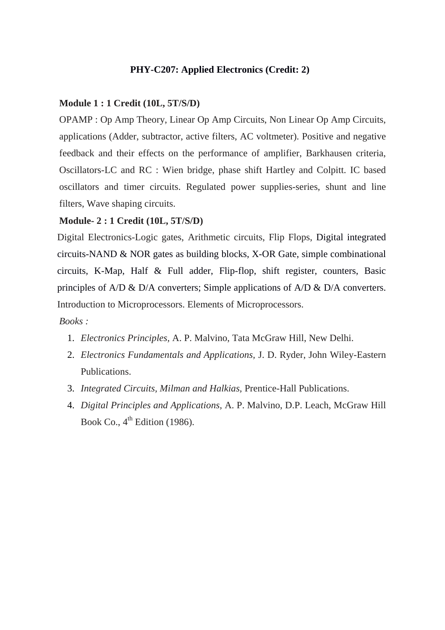## **PHY-C207: Applied Electronics (Credit: 2)**

## **Module 1 : 1 Credit (10L, 5T/S/D)**

OPAMP : Op Amp Theory, Linear Op Amp Circuits, Non Linear Op Amp Circuits, applications (Adder, subtractor, active filters, AC voltmeter). Positive and negative feedback and their effects on the performance of amplifier, Barkhausen criteria, Oscillators-LC and RC : Wien bridge, phase shift Hartley and Colpitt. IC based oscillators and timer circuits. Regulated power supplies-series, shunt and line filters, Wave shaping circuits.

#### **Module- 2 : 1 Credit (10L, 5T/S/D)**

Digital Electronics-Logic gates, Arithmetic circuits, Flip Flops, Digital integrated circuits-NAND & NOR gates as building blocks, X-OR Gate, simple combinational circuits, K-Map, Half & Full adder, Flip-flop, shift register, counters, Basic principles of A/D & D/A converters; Simple applications of A/D & D/A converters. Introduction to Microprocessors. Elements of Microprocessors.

- 1. *Electronics Principles,* A. P. Malvino, Tata McGraw Hill, New Delhi.
- 2. *Electronics Fundamentals and Applications,* J. D. Ryder, John Wiley-Eastern Publications.
- 3. *Integrated Circuits, Milman and Halkias,* Prentice-Hall Publications.
- 4. *Digital Principles and Applications,* A. P. Malvino, D.P. Leach, McGraw Hill Book Co.,  $4^{\text{th}}$  Edition (1986).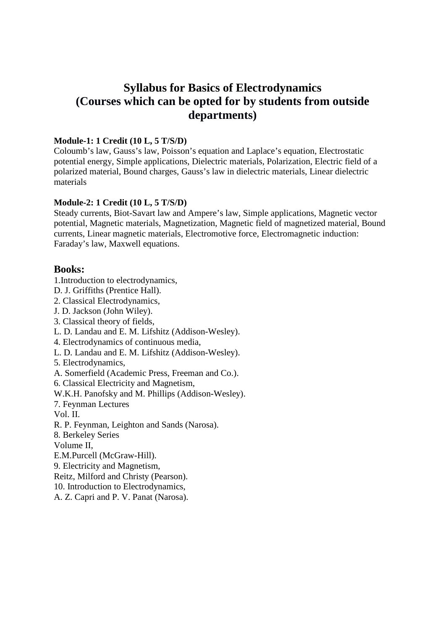# **Syllabus for Basics of Electrodynamics (Courses which can be opted for by students from outside departments)**

#### **Module-1: 1 Credit (10 L, 5 T/S/D)**

Coloumb's law, Gauss's law, Poisson's equation and Laplace's equation, Electrostatic potential energy, Simple applications, Dielectric materials, Polarization, Electric field of a polarized material, Bound charges, Gauss's law in dielectric materials, Linear dielectric materials

#### **Module-2: 1 Credit (10 L, 5 T/S/D)**

Steady currents, Biot-Savart law and Ampere's law, Simple applications, Magnetic vector potential, Magnetic materials, Magnetization, Magnetic field of magnetized material, Bound currents, Linear magnetic materials, Electromotive force, Electromagnetic induction: Faraday's law, Maxwell equations.

### **Books:**

1.Introduction to electrodynamics,

- D. J. Griffiths (Prentice Hall).
- 2. Classical Electrodynamics,
- J. D. Jackson (John Wiley).
- 3. Classical theory of fields,
- L. D. Landau and E. M. Lifshitz (Addison-Wesley).
- 4. Electrodynamics of continuous media,
- L. D. Landau and E. M. Lifshitz (Addison-Wesley).
- 5. Electrodynamics,
- A. Somerfield (Academic Press, Freeman and Co.).
- 6. Classical Electricity and Magnetism,
- W.K.H. Panofsky and M. Phillips (Addison-Wesley).
- 7. Feynman Lectures

Vol. II.

- R. P. Feynman, Leighton and Sands (Narosa).
- 8. Berkeley Series

Volume II,

- E.M.Purcell (McGraw-Hill).
- 9. Electricity and Magnetism,
- Reitz, Milford and Christy (Pearson).
- 10. Introduction to Electrodynamics,
- A. Z. Capri and P. V. Panat (Narosa).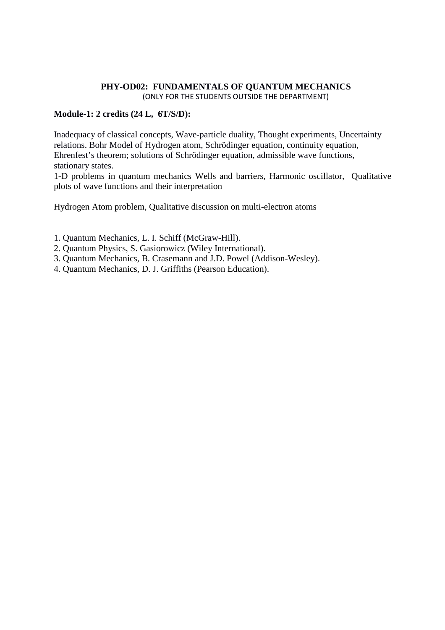#### **PHY-OD02: FUNDAMENTALS OF QUANTUM MECHANICS**  (ONLY FOR THE STUDENTS OUTSIDE THE DEPARTMENT)

### **Module-1: 2 credits (24 L, 6T/S/D):**

Inadequacy of classical concepts, Wave-particle duality, Thought experiments, Uncertainty relations. Bohr Model of Hydrogen atom, Schrödinger equation, continuity equation, Ehrenfest's theorem; solutions of Schrödinger equation, admissible wave functions, stationary states.

1-D problems in quantum mechanics Wells and barriers, Harmonic oscillator, Qualitative plots of wave functions and their interpretation

Hydrogen Atom problem, Qualitative discussion on multi-electron atoms

1. Quantum Mechanics, L. I. Schiff (McGraw-Hill).

- 2. Quantum Physics, S. Gasiorowicz (Wiley International).
- 3. Quantum Mechanics, B. Crasemann and J.D. Powel (Addison-Wesley).
- 4. Quantum Mechanics, D. J. Griffiths (Pearson Education).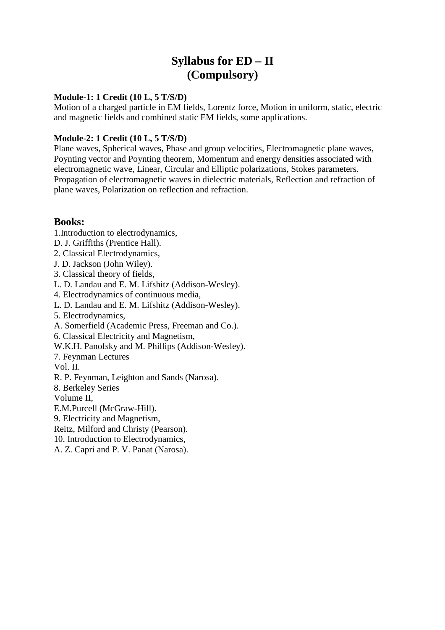# **Syllabus for ED – II (Compulsory)**

### **Module-1: 1 Credit (10 L, 5 T/S/D)**

Motion of a charged particle in EM fields, Lorentz force, Motion in uniform, static, electric and magnetic fields and combined static EM fields, some applications.

#### **Module-2: 1 Credit (10 L, 5 T/S/D)**

Plane waves, Spherical waves, Phase and group velocities, Electromagnetic plane waves, Poynting vector and Poynting theorem, Momentum and energy densities associated with electromagnetic wave, Linear, Circular and Elliptic polarizations, Stokes parameters. Propagation of electromagnetic waves in dielectric materials, Reflection and refraction of plane waves, Polarization on reflection and refraction.

- 1.Introduction to electrodynamics,
- D. J. Griffiths (Prentice Hall).
- 2. Classical Electrodynamics,
- J. D. Jackson (John Wiley).
- 3. Classical theory of fields,
- L. D. Landau and E. M. Lifshitz (Addison-Wesley).
- 4. Electrodynamics of continuous media,
- L. D. Landau and E. M. Lifshitz (Addison-Wesley).
- 5. Electrodynamics,
- A. Somerfield (Academic Press, Freeman and Co.).
- 6. Classical Electricity and Magnetism,
- W.K.H. Panofsky and M. Phillips (Addison-Wesley).
- 7. Feynman Lectures
- Vol. II.
- R. P. Feynman, Leighton and Sands (Narosa).
- 8. Berkeley Series
- Volume II,
- E.M.Purcell (McGraw-Hill).
- 9. Electricity and Magnetism,
- Reitz, Milford and Christy (Pearson).
- 10. Introduction to Electrodynamics,
- A. Z. Capri and P. V. Panat (Narosa).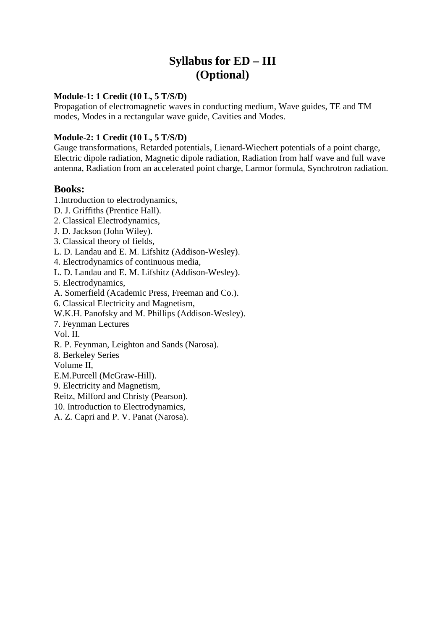# **Syllabus for ED – III (Optional)**

#### **Module-1: 1 Credit (10 L, 5 T/S/D)**

Propagation of electromagnetic waves in conducting medium, Wave guides, TE and TM modes, Modes in a rectangular wave guide, Cavities and Modes.

### **Module-2: 1 Credit (10 L, 5 T/S/D)**

Gauge transformations, Retarded potentials, Lienard-Wiechert potentials of a point charge, Electric dipole radiation, Magnetic dipole radiation, Radiation from half wave and full wave antenna, Radiation from an accelerated point charge, Larmor formula, Synchrotron radiation.

- 1.Introduction to electrodynamics,
- D. J. Griffiths (Prentice Hall).
- 2. Classical Electrodynamics,
- J. D. Jackson (John Wiley).
- 3. Classical theory of fields,
- L. D. Landau and E. M. Lifshitz (Addison-Wesley).
- 4. Electrodynamics of continuous media,
- L. D. Landau and E. M. Lifshitz (Addison-Wesley).
- 5. Electrodynamics,
- A. Somerfield (Academic Press, Freeman and Co.).
- 6. Classical Electricity and Magnetism,
- W.K.H. Panofsky and M. Phillips (Addison-Wesley).
- 7. Feynman Lectures
- Vol. II.
- R. P. Feynman, Leighton and Sands (Narosa).
- 8. Berkeley Series
- Volume II,
- E.M.Purcell (McGraw-Hill).
- 9. Electricity and Magnetism,
- Reitz, Milford and Christy (Pearson).
- 10. Introduction to Electrodynamics,
- A. Z. Capri and P. V. Panat (Narosa).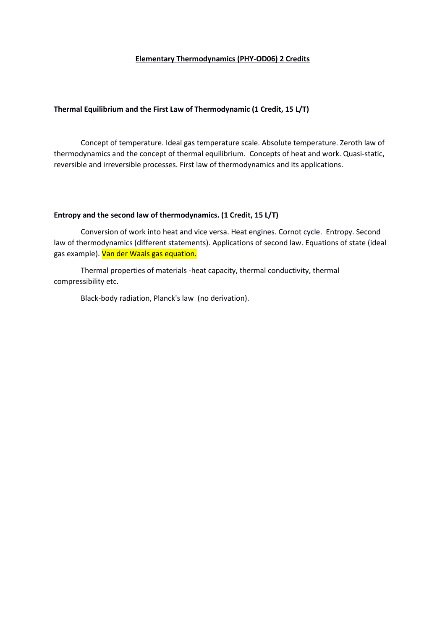#### **Elementary Thermodynamics (PHY-OD06) 2 Credits**

#### **Thermal Equilibrium and the First Law of Thermodynamic (1 Credit, 15 L/T)**

 Concept of temperature. Ideal gas temperature scale. Absolute temperature. Zeroth law of thermodynamics and the concept of thermal equilibrium. Concepts of heat and work. Quasi-static, reversible and irreversible processes. First law of thermodynamics and its applications.

#### **Entropy and the second law of thermodynamics. (1 Credit, 15 L/T)**

Conversion of work into heat and vice versa. Heat engines. Cornot cycle. Entropy. Second law of thermodynamics (different statements). Applications of second law. Equations of state (ideal gas example). Van der Waals gas equation.

 Thermal properties of materials -heat capacity, thermal conductivity, thermal compressibility etc.

Black-body radiation, Planck's law (no derivation).